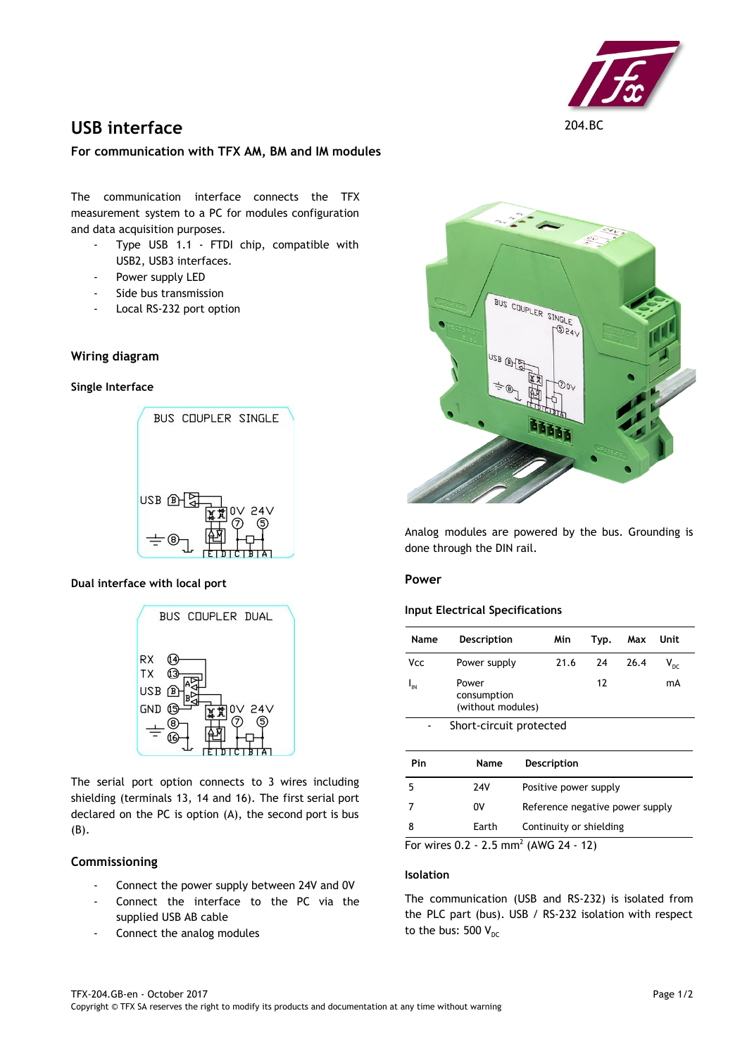

# **USB interface** 204.BC

## **For communication with TFX AM, BM and IM modules**

The communication interface connects the TFX measurement system to a PC for modules configuration and data acquisition purposes.

- Type USB 1.1 FTDI chip, compatible with USB2, USB3 interfaces.
- Power supply LED
- Side bus transmission
- Local RS-232 port option

# **Wiring diagram**

#### **Single Interface**



## **Dual interface with local port**



The serial port option connects to 3 wires including shielding (terminals 13, 14 and 16). The first serial port declared on the PC is option (A), the second port is bus (B).

## **Commissioning**

- Connect the power supply between 24V and 0V
- Connect the interface to the PC via the supplied USB AB cable
- Connect the analog modules



Analog modules are powered by the bus. Grounding is done through the DIN rail.

## **Power**

#### **Input Electrical Specifications**

| Name     | <b>Description</b>                        | Min                             | Typ. | Max  | Unit            |  |
|----------|-------------------------------------------|---------------------------------|------|------|-----------------|--|
| Vcc      | Power supply                              | 21.6                            | 24   | 26.4 | $V_{\text{pc}}$ |  |
| $I_{IN}$ | Power<br>consumption<br>(without modules) |                                 | 12   |      | mA              |  |
|          | Short-circuit protected                   |                                 |      |      |                 |  |
| Pin      | Name                                      | Description                     |      |      |                 |  |
| 5        | 24V                                       | Positive power supply           |      |      |                 |  |
| 7        | 0V                                        | Reference negative power supply |      |      |                 |  |
| 8        | Earth                                     | Continuity or shielding         |      |      |                 |  |

For wires  $0.2 - 2.5$  mm<sup>2</sup> (AWG 24 - 12)

## **Isolation**

The communication (USB and RS-232) is isolated from the PLC part (bus). USB / RS-232 isolation with respect to the bus: 500  $V_{DC}$